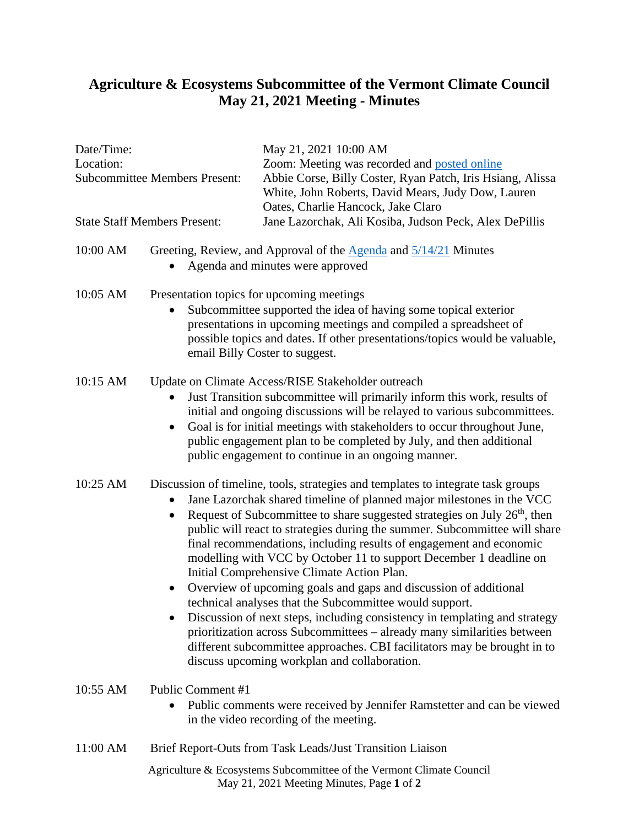## **Agriculture & Ecosystems Subcommittee of the Vermont Climate Council May 21, 2021 Meeting - Minutes**

## Agriculture & Ecosystems Subcommittee of the Vermont Climate Council Date/Time: May 21, 2021 10:00 AM Location: Zoom: Meeting was recorded and [posted online](https://www.youtube.com/watch?app=desktop&v=nHk2gbadF3A&feature=youtu.be)  Subcommittee Members Present: Abbie Corse, Billy Coster, Ryan Patch, Iris Hsiang, Alissa White, John Roberts, David Mears, Judy Dow, Lauren Oates, Charlie Hancock, Jake Claro State Staff Members Present: Jane Lazorchak, Ali Kosiba, Judson Peck, Alex DePillis 10:00 AM Greeting, Review, and Approval of the [Agenda](https://aoa.vermont.gov/sites/aoa/files/Boards/VCC/2021-5-21%20Agenda%20-%20Agriculture%20%20Ecosystems%20Subcommittee%20of%20the%20Vermont%20Climate%20Council.pdf) and  $\frac{5}{14/21}$  Minutes • Agenda and minutes were approved 10:05 AM Presentation topics for upcoming meetings Subcommittee supported the idea of having some topical exterior presentations in upcoming meetings and compiled a spreadsheet of possible topics and dates. If other presentations/topics would be valuable, email Billy Coster to suggest. 10:15 AM Update on Climate Access/RISE Stakeholder outreach • Just Transition subcommittee will primarily inform this work, results of initial and ongoing discussions will be relayed to various subcommittees. • Goal is for initial meetings with stakeholders to occur throughout June, public engagement plan to be completed by July, and then additional public engagement to continue in an ongoing manner. 10:25 AM Discussion of timeline, tools, strategies and templates to integrate task groups • Jane Lazorchak shared timeline of planned major milestones in the VCC • Request of Subcommittee to share suggested strategies on July  $26<sup>th</sup>$ , then public will react to strategies during the summer. Subcommittee will share final recommendations, including results of engagement and economic modelling with VCC by October 11 to support December 1 deadline on Initial Comprehensive Climate Action Plan. • Overview of upcoming goals and gaps and discussion of additional technical analyses that the Subcommittee would support. • Discussion of next steps, including consistency in templating and strategy prioritization across Subcommittees – already many similarities between different subcommittee approaches. CBI facilitators may be brought in to discuss upcoming workplan and collaboration. 10:55 AM Public Comment #1 • Public comments were received by Jennifer Ramstetter and can be viewed in the video recording of the meeting. 11:00 AM Brief Report-Outs from Task Leads/Just Transition Liaison

May 21, 2021 Meeting Minutes, Page **1** of **2**